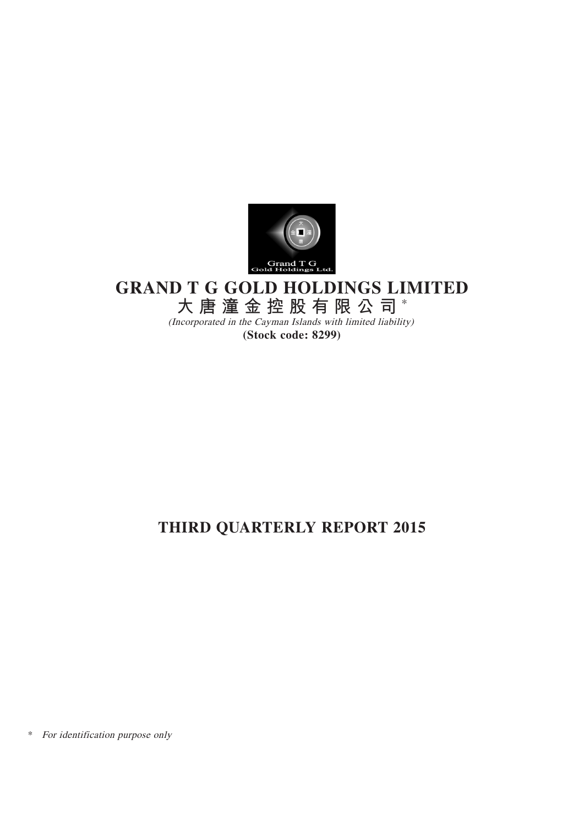

# **GRAND T G GOLD HOLDINGS LIMITED**

**大唐潼金控股有限公司** \*

(Incorporated in the Cayman Islands with limited liability) **(Stock code: 8299)**

# **THIRD QUARTERLY REPORT 2015**

\* For identification purpose only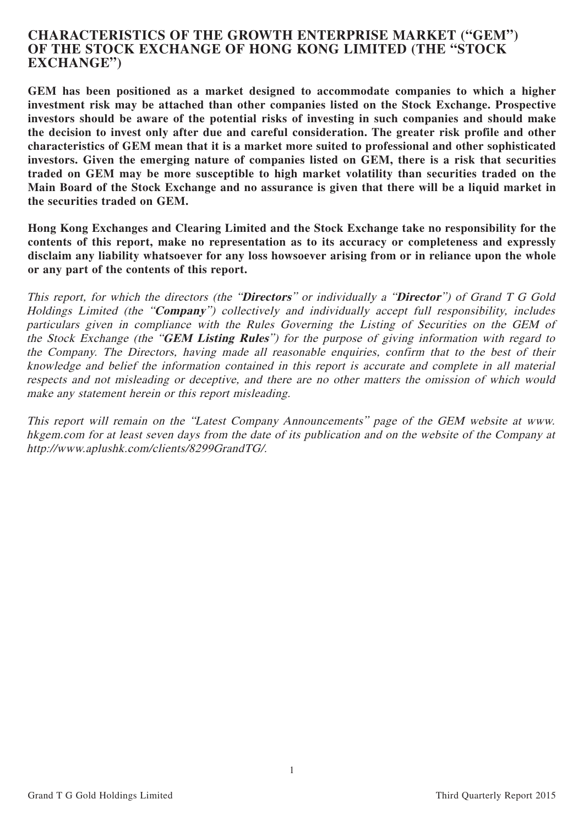# **CHARACTERISTICS OF THE GROWTH ENTERPRISE MARKET ("GEM") OF THE STOCK EXCHANGE OF HONG KONG LIMITED (THE "STOCK EXCHANGE")**

**GEM has been positioned as a market designed to accommodate companies to which a higher investment risk may be attached than other companies listed on the Stock Exchange. Prospective investors should be aware of the potential risks of investing in such companies and should make the decision to invest only after due and careful consideration. The greater risk profile and other characteristics of GEM mean that it is a market more suited to professional and other sophisticated investors. Given the emerging nature of companies listed on GEM, there is a risk that securities traded on GEM may be more susceptible to high market volatility than securities traded on the Main Board of the Stock Exchange and no assurance is given that there will be a liquid market in the securities traded on GEM.**

**Hong Kong Exchanges and Clearing Limited and the Stock Exchange take no responsibility for the contents of this report, make no representation as to its accuracy or completeness and expressly disclaim any liability whatsoever for any loss howsoever arising from or in reliance upon the whole or any part of the contents of this report.**

This report, for which the directors (the "**Directors**" or individually a "**Director**") of Grand T G Gold Holdings Limited (the "**Company**") collectively and individually accept full responsibility, includes particulars given in compliance with the Rules Governing the Listing of Securities on the GEM of the Stock Exchange (the "**GEM Listing Rules**") for the purpose of giving information with regard to the Company. The Directors, having made all reasonable enquiries, confirm that to the best of their knowledge and belief the information contained in this report is accurate and complete in all material respects and not misleading or deceptive, and there are no other matters the omission of which would make any statement herein or this report misleading.

This report will remain on the "Latest Company Announcements" page of the GEM website at www. hkgem.com for at least seven days from the date of its publication and on the website of the Company at http://www.aplushk.com/clients/8299GrandTG/.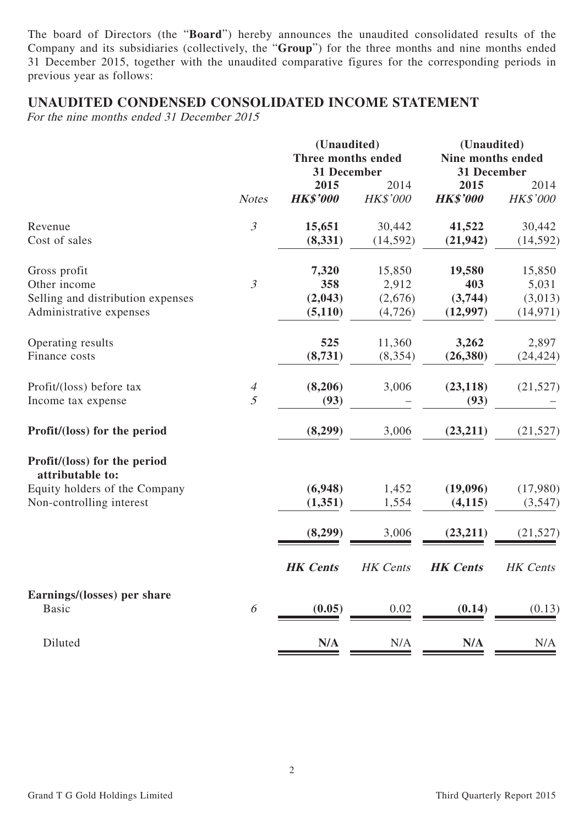The board of Directors (the "**Board**") hereby announces the unaudited consolidated results of the Company and its subsidiaries (collectively, the "**Group**") for the three months and nine months ended 31 December 2015, together with the unaudited comparative figures for the corresponding periods in previous year as follows:

# **UNAUDITED CONDENSED CONSOLIDATED INCOME STATEMENT**

For the nine months ended 31 December 2015

|                                                  |                       | (Unaudited)                       |                 | (Unaudited)                      |           |  |
|--------------------------------------------------|-----------------------|-----------------------------------|-----------------|----------------------------------|-----------|--|
|                                                  |                       | Three months ended<br>31 December |                 | Nine months ended<br>31 December |           |  |
|                                                  |                       | 2015                              | 2014            | 2015                             | 2014      |  |
|                                                  | <b>Notes</b>          | <b>HK\$'000</b>                   | <b>HK\$'000</b> | <b>HK\$'000</b>                  | HK\$'000  |  |
| Revenue                                          | $\mathfrak{Z}$        | 15,651                            | 30,442          | 41,522                           | 30,442    |  |
| Cost of sales                                    |                       | (8, 331)                          | (14, 592)       | (21, 942)                        | (14, 592) |  |
| Gross profit                                     |                       | 7,320                             | 15,850          | 19,580                           | 15,850    |  |
| Other income                                     | $\mathfrak{Z}$        | 358                               | 2,912           | 403                              | 5,031     |  |
| Selling and distribution expenses                |                       | (2,043)                           | (2,676)         | (3,744)                          | (3,013)   |  |
| Administrative expenses                          |                       | (5, 110)                          | (4, 726)        | (12,997)                         | (14, 971) |  |
| Operating results                                |                       | 525                               | 11,360          | 3,262                            | 2,897     |  |
| Finance costs                                    |                       | (8,731)                           | (8, 354)        | (26, 380)                        | (24, 424) |  |
| Profit/(loss) before tax                         | $\overline{A}$        | (8,206)                           | 3,006           | (23, 118)                        | (21, 527) |  |
| Income tax expense                               | 5                     | (93)                              |                 | (93)                             |           |  |
| Profit/(loss) for the period                     |                       | (8,299)                           | 3,006           | (23,211)                         | (21, 527) |  |
| Profit/(loss) for the period<br>attributable to: |                       |                                   |                 |                                  |           |  |
| Equity holders of the Company                    |                       | (6,948)                           | 1,452           | (19,096)                         | (17,980)  |  |
| Non-controlling interest                         |                       | (1,351)                           | 1,554           | (4, 115)                         | (3,547)   |  |
|                                                  |                       | (8,299)                           | 3,006           | (23,211)                         | (21, 527) |  |
|                                                  |                       | <b>HK</b> Cents                   | HK Cents        | <b>HK</b> Cents                  | HK Cents  |  |
| Earnings/(losses) per share                      |                       |                                   |                 |                                  |           |  |
| <b>Basic</b>                                     | $\boldsymbol{\delta}$ | (0.05)                            | 0.02            | (0.14)                           | (0.13)    |  |
| Diluted                                          |                       | N/A                               | N/A             | N/A                              | N/A       |  |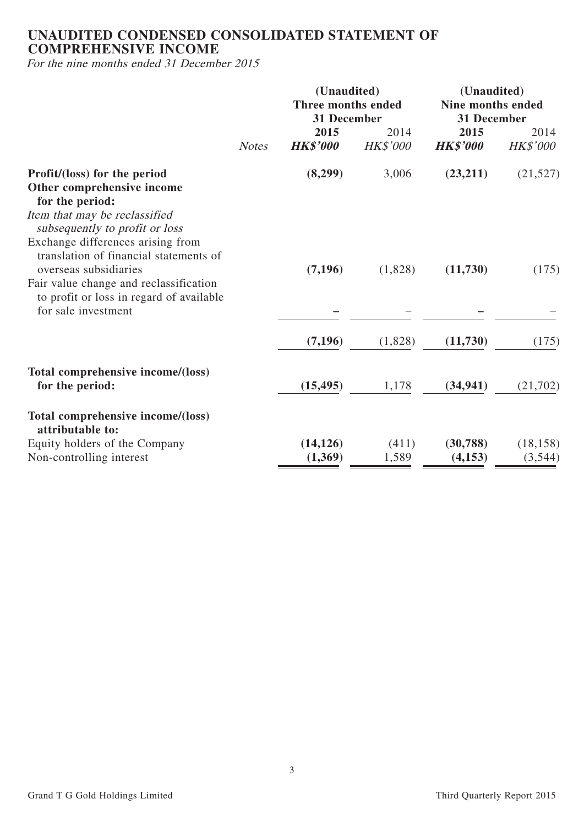# **UNAUDITED CONDENSED CONSOLIDATED STATEMENT OF COMPREHENSIVE INCOME**

For the nine months ended 31 December 2015

|                                                                                                                                                | <b>Notes</b> | (Unaudited)<br>Three months ended<br>31 December |                         | (Unaudited)<br><b>Nine months ended</b><br>31 December |                      |  |
|------------------------------------------------------------------------------------------------------------------------------------------------|--------------|--------------------------------------------------|-------------------------|--------------------------------------------------------|----------------------|--|
|                                                                                                                                                |              | 2015<br><b>HK\$'000</b>                          | 2014<br><b>HK\$'000</b> | 2015<br><b>HK\$'000</b>                                | 2014<br>HK\$'000     |  |
| Profit/(loss) for the period<br>Other comprehensive income<br>for the period:                                                                  |              | (8,299)                                          | 3,006                   | (23,211)                                               | (21,527)             |  |
| Item that may be reclassified<br>subsequently to profit or loss<br>Exchange differences arising from<br>translation of financial statements of |              |                                                  |                         |                                                        |                      |  |
| overseas subsidiaries<br>Fair value change and reclassification<br>to profit or loss in regard of available                                    |              | (7,196)                                          | (1,828)                 | (11,730)                                               | (175)                |  |
| for sale investment                                                                                                                            |              | (7, 196)                                         | (1,828)                 | (11,730)                                               | (175)                |  |
| Total comprehensive income/(loss)<br>for the period:                                                                                           |              | (15, 495)                                        | 1,178                   | (34, 941)                                              | (21,702)             |  |
| Total comprehensive income/(loss)<br>attributable to:                                                                                          |              |                                                  |                         |                                                        |                      |  |
| Equity holders of the Company<br>Non-controlling interest                                                                                      |              | (14, 126)<br>(1,369)                             | (411)<br>1,589          | (30, 788)<br>(4, 153)                                  | (18, 158)<br>(3,544) |  |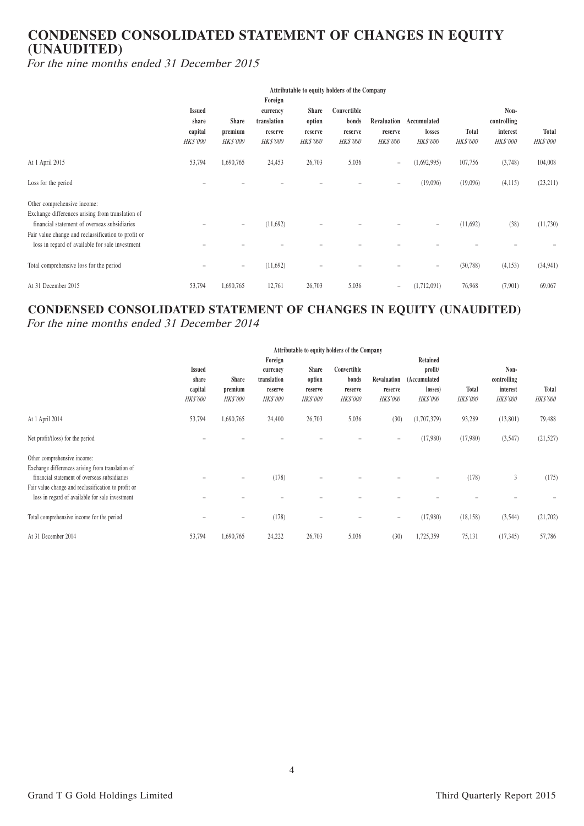# **CONDENSED CONSOLIDATED STATEMENT OF CHANGES IN EQUITY (UNAUDITED)**

For the nine months ended 31 December 2015

|                                                                                                                                                                                                                                           | Attributable to equity holders of the Company        |                                            |                                                                  |                                                      |                                                    |                                           |                                          |                                 |                                                    |                                 |
|-------------------------------------------------------------------------------------------------------------------------------------------------------------------------------------------------------------------------------------------|------------------------------------------------------|--------------------------------------------|------------------------------------------------------------------|------------------------------------------------------|----------------------------------------------------|-------------------------------------------|------------------------------------------|---------------------------------|----------------------------------------------------|---------------------------------|
|                                                                                                                                                                                                                                           | <b>Issued</b><br>share<br>capital<br><i>HK\$'000</i> | <b>Share</b><br>premium<br><b>HK\$'000</b> | Foreign<br>currency<br>translation<br>reserve<br><b>HK\$'000</b> | <b>Share</b><br>option<br>reserve<br><b>HK\$'000</b> | Convertible<br>bonds<br>reserve<br><b>HK\$'000</b> | Revaluation<br>reserve<br><b>HK\$'000</b> | Accumulated<br>losses<br><b>HK\$'000</b> | <b>Total</b><br><b>HK\$'000</b> | Non-<br>controlling<br>interest<br><i>HK\$'000</i> | <b>Total</b><br><i>HK\$'000</i> |
| At 1 April 2015                                                                                                                                                                                                                           | 53,794                                               | 1,690,765                                  | 24,453                                                           | 26,703                                               | 5,036                                              | $\overline{\phantom{m}}$                  | (1,692,995)                              | 107,756                         | (3,748)                                            | 104,008                         |
| Loss for the period                                                                                                                                                                                                                       |                                                      |                                            |                                                                  |                                                      |                                                    | $\qquad \qquad =$                         | (19,096)                                 | (19,096)                        | (4,115)                                            | (23, 211)                       |
| Other comprehensive income:<br>Exchange differences arising from translation of<br>financial statement of overseas subsidiaries<br>Fair value change and reclassification to profit or<br>loss in regard of available for sale investment |                                                      | $\overline{\phantom{m}}$                   | (11,692)                                                         |                                                      |                                                    |                                           | $\equiv$                                 | (11,692)                        | (38)                                               | (11,730)                        |
| Total comprehensive loss for the period                                                                                                                                                                                                   |                                                      | $\overline{\phantom{m}}$                   | (11,692)                                                         |                                                      |                                                    |                                           | $\equiv$                                 | (30, 788)                       | (4,153)                                            | (34, 941)                       |
| At 31 December 2015                                                                                                                                                                                                                       | 53,794                                               | 1,690,765                                  | 12,761                                                           | 26,703                                               | 5,036                                              | $\overline{\phantom{m}}$                  | (1,712,091)                              | 76,968                          | (7,901)                                            | 69,067                          |

# **CONDENSED CONSOLIDATED STATEMENT OF CHANGES IN EQUITY (UNAUDITED)**

For the nine months ended 31 December 2014

|                                                     | Attributable to equity holders of the Company |                   |                 |                 |             |                                    |              |                                    |             |                 |
|-----------------------------------------------------|-----------------------------------------------|-------------------|-----------------|-----------------|-------------|------------------------------------|--------------|------------------------------------|-------------|-----------------|
|                                                     |                                               |                   | Foreign         |                 |             |                                    | Retained     |                                    |             |                 |
|                                                     | <b>Issued</b>                                 |                   | currency        | <b>Share</b>    | Convertible |                                    | profit/      |                                    | Non-        |                 |
|                                                     | share                                         | Share             | translation     | option          | bonds       | Revaluation                        | (Accumulated |                                    | controlling |                 |
|                                                     | capital                                       | premium           | reserve         | reserve         | reserve     | reserve                            | losses)      | <b>Total</b>                       | interest    | <b>Total</b>    |
|                                                     | <b>HK\$'000</b>                               | <b>HK\$'000</b>   | <b>HK\$'000</b> | <b>HK\$'000</b> |             | <b>HK\$'000</b><br><b>HK\$'000</b> |              | <b>HK\$'000</b><br><b>HK\$'000</b> |             | <b>HK\$'000</b> |
| At 1 April 2014                                     | 53,794                                        | 1,690,765         | 24,400          | 26,703          | 5,036       | (30)                               | (1,707,379)  | 93,289                             | (13,801)    | 79,488          |
| Net profit/(loss) for the period                    |                                               |                   |                 |                 |             | $\overline{\phantom{m}}$           | (17,980)     | (17,980)                           | (3,547)     | (21, 527)       |
| Other comprehensive income:                         |                                               |                   |                 |                 |             |                                    |              |                                    |             |                 |
| Exchange differences arising from translation of    |                                               |                   |                 |                 |             |                                    |              |                                    |             |                 |
| financial statement of overseas subsidiaries        |                                               |                   | (178)           |                 |             |                                    |              | (178)                              | 3           | (175)           |
| Fair value change and reclassification to profit or |                                               |                   |                 |                 |             |                                    |              |                                    |             |                 |
| loss in regard of available for sale investment     |                                               |                   |                 |                 |             |                                    |              |                                    |             |                 |
| Total comprehensive income for the period           |                                               | $\qquad \qquad -$ | (178)           |                 |             | $\equiv$                           | (17,980)     | (18, 158)                          | (3,544)     | (21,702)        |
| At 31 December 2014                                 | 53,794                                        | 1,690,765         | 24,222          | 26,703          | 5,036       | (30)                               | 1,725,359    | 75,131                             | (17, 345)   | 57,786          |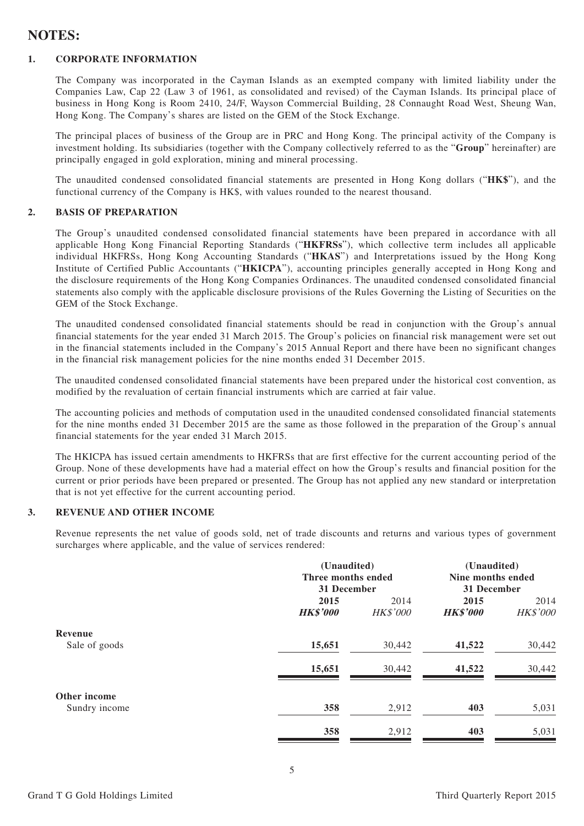# **NOTES:**

#### **1. CORPORATE INFORMATION**

The Company was incorporated in the Cayman Islands as an exempted company with limited liability under the Companies Law, Cap 22 (Law 3 of 1961, as consolidated and revised) of the Cayman Islands. Its principal place of business in Hong Kong is Room 2410, 24/F, Wayson Commercial Building, 28 Connaught Road West, Sheung Wan, Hong Kong. The Company's shares are listed on the GEM of the Stock Exchange.

The principal places of business of the Group are in PRC and Hong Kong. The principal activity of the Company is investment holding. Its subsidiaries (together with the Company collectively referred to as the "**Group**" hereinafter) are principally engaged in gold exploration, mining and mineral processing.

The unaudited condensed consolidated financial statements are presented in Hong Kong dollars ("**HK\$**"), and the functional currency of the Company is HK\$, with values rounded to the nearest thousand.

#### **2. BASIS OF PREPARATION**

The Group's unaudited condensed consolidated financial statements have been prepared in accordance with all applicable Hong Kong Financial Reporting Standards ("**HKFRSs**"), which collective term includes all applicable individual HKFRSs, Hong Kong Accounting Standards ("**HKAS**") and Interpretations issued by the Hong Kong Institute of Certified Public Accountants ("**HKICPA**"), accounting principles generally accepted in Hong Kong and the disclosure requirements of the Hong Kong Companies Ordinances. The unaudited condensed consolidated financial statements also comply with the applicable disclosure provisions of the Rules Governing the Listing of Securities on the GEM of the Stock Exchange.

The unaudited condensed consolidated financial statements should be read in conjunction with the Group's annual financial statements for the year ended 31 March 2015. The Group's policies on financial risk management were set out in the financial statements included in the Company's 2015 Annual Report and there have been no significant changes in the financial risk management policies for the nine months ended 31 December 2015.

The unaudited condensed consolidated financial statements have been prepared under the historical cost convention, as modified by the revaluation of certain financial instruments which are carried at fair value.

The accounting policies and methods of computation used in the unaudited condensed consolidated financial statements for the nine months ended 31 December 2015 are the same as those followed in the preparation of the Group's annual financial statements for the year ended 31 March 2015.

The HKICPA has issued certain amendments to HKFRSs that are first effective for the current accounting period of the Group. None of these developments have had a material effect on how the Group's results and financial position for the current or prior periods have been prepared or presented. The Group has not applied any new standard or interpretation that is not yet effective for the current accounting period.

#### **3. REVENUE AND OTHER INCOME**

Revenue represents the net value of goods sold, net of trade discounts and returns and various types of government surcharges where applicable, and the value of services rendered:

|               | (Unaudited)        |                 | (Unaudited)       |          |
|---------------|--------------------|-----------------|-------------------|----------|
|               | Three months ended |                 | Nine months ended |          |
|               | 31 December        |                 | 31 December       |          |
|               | 2015               | 2014            | 2015              | 2014     |
|               | <b>HK\$'000</b>    | <b>HK\$'000</b> | <b>HK\$'000</b>   | HK\$'000 |
| Revenue       |                    |                 |                   |          |
| Sale of goods | 15,651             | 30,442          | 41,522            | 30,442   |
|               | 15,651             | 30,442          | 41,522            | 30,442   |
| Other income  |                    |                 |                   |          |
| Sundry income | 358                | 2,912           | 403               | 5,031    |
|               | 358                | 2,912           | 403               | 5,031    |

```
Grand T G Gold Holdings Limited Third Cuarterly Report 2015 Third Quarterly Report 2015
```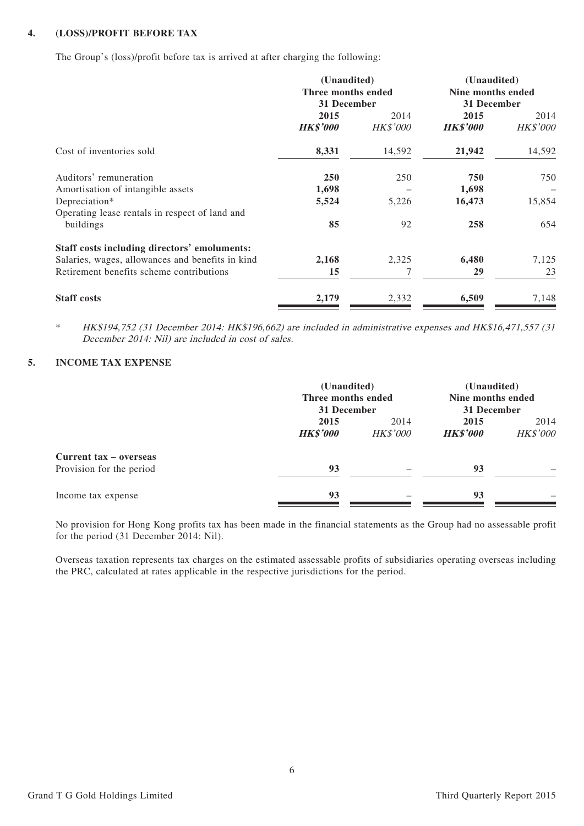#### **4. (LOSS)/PROFIT BEFORE TAX**

The Group's (loss)/profit before tax is arrived at after charging the following:

|                                                                 | (Unaudited)<br>Three months ended<br>31 December |                         | (Unaudited)<br>Nine months ended<br>31 December |                  |
|-----------------------------------------------------------------|--------------------------------------------------|-------------------------|-------------------------------------------------|------------------|
|                                                                 | 2015<br><b>HK\$'000</b>                          | 2014<br><b>HK\$'000</b> | 2015<br><b>HK\$'000</b>                         | 2014<br>HK\$'000 |
| Cost of inventories sold                                        | 8,331                                            | 14,592                  | 21,942                                          | 14,592           |
| Auditors' remuneration                                          | <b>250</b>                                       | 250                     | 750                                             | 750              |
| Amortisation of intangible assets                               | 1,698                                            |                         | 1,698                                           |                  |
| Depreciation*<br>Operating lease rentals in respect of land and | 5,524                                            | 5,226                   | 16,473                                          | 15,854           |
| buildings                                                       | 85                                               | 92                      | 258                                             | 654              |
| Staff costs including directors' emoluments:                    |                                                  |                         |                                                 |                  |
| Salaries, wages, allowances and benefits in kind                | 2,168                                            | 2,325                   | 6,480                                           | 7,125            |
| Retirement benefits scheme contributions                        | 15                                               |                         | 29                                              | 23               |
| <b>Staff costs</b>                                              | 2,179                                            | 2,332                   | 6,509                                           | 7,148            |

\* HK\$194,752 (31 December 2014: HK\$196,662) are included in administrative expenses and HK\$16,471,557 (31 December 2014: Nil) are included in cost of sales.

### **5. INCOME TAX EXPENSE**

|                                                    |                         | (Unaudited)<br>Three months ended<br>31 December |                         | (Unaudited)<br>Nine months ended<br>31 December |
|----------------------------------------------------|-------------------------|--------------------------------------------------|-------------------------|-------------------------------------------------|
|                                                    | 2015<br><b>HK\$'000</b> | 2014<br><b>HK\$'000</b>                          | 2015<br><b>HK\$'000</b> | 2014<br><b>HK\$'000</b>                         |
| Current tax - overseas<br>Provision for the period | 93                      |                                                  | 93                      |                                                 |
| Income tax expense                                 | 93                      |                                                  | 93                      |                                                 |

No provision for Hong Kong profits tax has been made in the financial statements as the Group had no assessable profit for the period (31 December 2014: Nil).

Overseas taxation represents tax charges on the estimated assessable profits of subsidiaries operating overseas including the PRC, calculated at rates applicable in the respective jurisdictions for the period.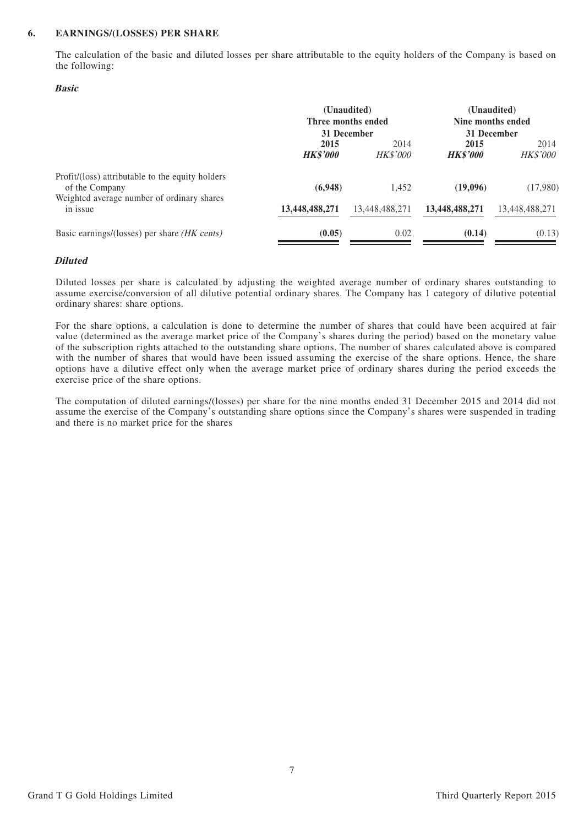#### **6. EARNINGS/(LOSSES) PER SHARE**

The calculation of the basic and diluted losses per share attributable to the equity holders of the Company is based on the following:

#### **Basic**

|                                                                                                                  |                         | (Unaudited)<br>Three months ended<br>31 December | (Unaudited)<br>Nine months ended<br>31 December |                         |  |
|------------------------------------------------------------------------------------------------------------------|-------------------------|--------------------------------------------------|-------------------------------------------------|-------------------------|--|
|                                                                                                                  | 2015<br><b>HK\$'000</b> | 2014<br><b>HK\$'000</b>                          | 2015<br><b>HK\$'000</b>                         | 2014<br><b>HK\$'000</b> |  |
| Profit/(loss) attributable to the equity holders<br>of the Company<br>Weighted average number of ordinary shares | (6,948)                 | 1.452                                            | (19,096)                                        | (17,980)                |  |
| in issue                                                                                                         | 13,448,488,271          | 13,448,488,271                                   | 13,448,488,271                                  | 13,448,488,271          |  |
| Basic earnings/(losses) per share <i>(HK cents)</i>                                                              | (0.05)                  | 0.02                                             | (0.14)                                          | (0.13)                  |  |

#### **Diluted**

Diluted losses per share is calculated by adjusting the weighted average number of ordinary shares outstanding to assume exercise/conversion of all dilutive potential ordinary shares. The Company has 1 category of dilutive potential ordinary shares: share options.

For the share options, a calculation is done to determine the number of shares that could have been acquired at fair value (determined as the average market price of the Company's shares during the period) based on the monetary value of the subscription rights attached to the outstanding share options. The number of shares calculated above is compared with the number of shares that would have been issued assuming the exercise of the share options. Hence, the share options have a dilutive effect only when the average market price of ordinary shares during the period exceeds the exercise price of the share options.

The computation of diluted earnings/(losses) per share for the nine months ended 31 December 2015 and 2014 did not assume the exercise of the Company's outstanding share options since the Company's shares were suspended in trading and there is no market price for the shares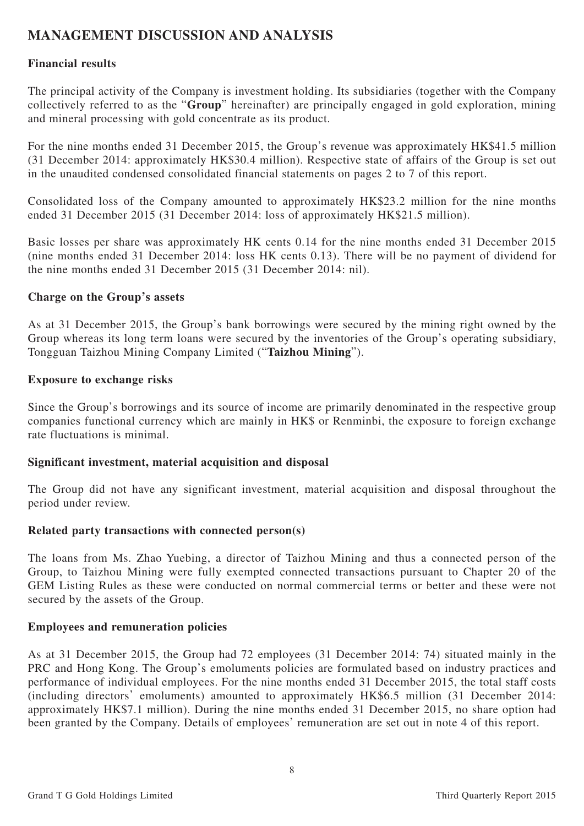# **MANAGEMENT DISCUSSION AND ANALYSIS**

## **Financial results**

The principal activity of the Company is investment holding. Its subsidiaries (together with the Company collectively referred to as the "**Group**" hereinafter) are principally engaged in gold exploration, mining and mineral processing with gold concentrate as its product.

For the nine months ended 31 December 2015, the Group's revenue was approximately HK\$41.5 million (31 December 2014: approximately HK\$30.4 million). Respective state of affairs of the Group is set out in the unaudited condensed consolidated financial statements on pages 2 to 7 of this report.

Consolidated loss of the Company amounted to approximately HK\$23.2 million for the nine months ended 31 December 2015 (31 December 2014: loss of approximately HK\$21.5 million).

Basic losses per share was approximately HK cents 0.14 for the nine months ended 31 December 2015 (nine months ended 31 December 2014: loss HK cents 0.13). There will be no payment of dividend for the nine months ended 31 December 2015 (31 December 2014: nil).

### **Charge on the Group's assets**

As at 31 December 2015, the Group's bank borrowings were secured by the mining right owned by the Group whereas its long term loans were secured by the inventories of the Group's operating subsidiary, Tongguan Taizhou Mining Company Limited ("**Taizhou Mining**").

### **Exposure to exchange risks**

Since the Group's borrowings and its source of income are primarily denominated in the respective group companies functional currency which are mainly in HK\$ or Renminbi, the exposure to foreign exchange rate fluctuations is minimal.

#### **Significant investment, material acquisition and disposal**

The Group did not have any significant investment, material acquisition and disposal throughout the period under review.

## **Related party transactions with connected person(s)**

The loans from Ms. Zhao Yuebing, a director of Taizhou Mining and thus a connected person of the Group, to Taizhou Mining were fully exempted connected transactions pursuant to Chapter 20 of the GEM Listing Rules as these were conducted on normal commercial terms or better and these were not secured by the assets of the Group.

#### **Employees and remuneration policies**

As at 31 December 2015, the Group had 72 employees (31 December 2014: 74) situated mainly in the PRC and Hong Kong. The Group's emoluments policies are formulated based on industry practices and performance of individual employees. For the nine months ended 31 December 2015, the total staff costs (including directors' emoluments) amounted to approximately HK\$6.5 million (31 December 2014: approximately HK\$7.1 million). During the nine months ended 31 December 2015, no share option had been granted by the Company. Details of employees' remuneration are set out in note 4 of this report.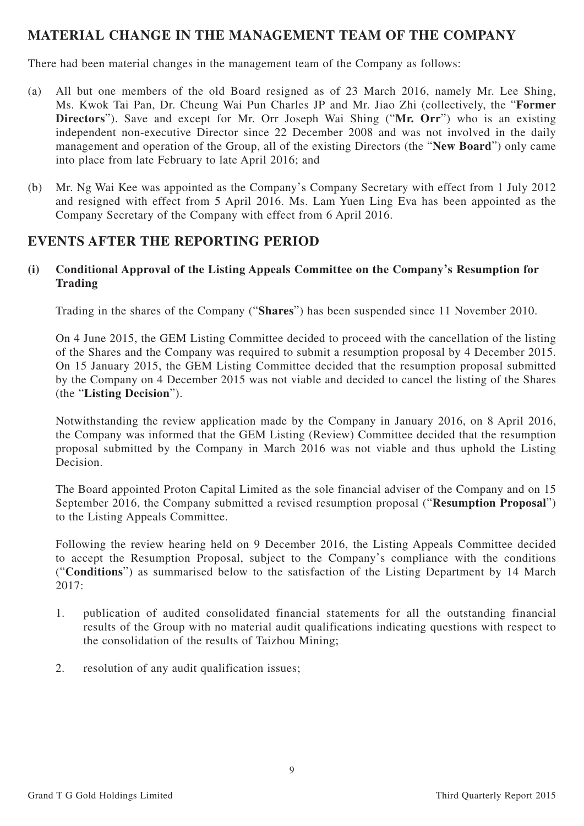# **MATERIAL CHANGE IN THE MANAGEMENT TEAM OF THE COMPANY**

There had been material changes in the management team of the Company as follows:

- (a) All but one members of the old Board resigned as of 23 March 2016, namely Mr. Lee Shing, Ms. Kwok Tai Pan, Dr. Cheung Wai Pun Charles JP and Mr. Jiao Zhi (collectively, the "**Former Directors**"). Save and except for Mr. Orr Joseph Wai Shing ("**Mr. Orr**") who is an existing independent non-executive Director since 22 December 2008 and was not involved in the daily management and operation of the Group, all of the existing Directors (the "**New Board**") only came into place from late February to late April 2016; and
- (b) Mr. Ng Wai Kee was appointed as the Company's Company Secretary with effect from 1 July 2012 and resigned with effect from 5 April 2016. Ms. Lam Yuen Ling Eva has been appointed as the Company Secretary of the Company with effect from 6 April 2016.

# **EVENTS AFTER THE REPORTING PERIOD**

**(i) Conditional Approval of the Listing Appeals Committee on the Company's Resumption for Trading**

Trading in the shares of the Company ("**Shares**") has been suspended since 11 November 2010.

On 4 June 2015, the GEM Listing Committee decided to proceed with the cancellation of the listing of the Shares and the Company was required to submit a resumption proposal by 4 December 2015. On 15 January 2015, the GEM Listing Committee decided that the resumption proposal submitted by the Company on 4 December 2015 was not viable and decided to cancel the listing of the Shares (the "**Listing Decision**").

Notwithstanding the review application made by the Company in January 2016, on 8 April 2016, the Company was informed that the GEM Listing (Review) Committee decided that the resumption proposal submitted by the Company in March 2016 was not viable and thus uphold the Listing Decision.

The Board appointed Proton Capital Limited as the sole financial adviser of the Company and on 15 September 2016, the Company submitted a revised resumption proposal ("**Resumption Proposal**") to the Listing Appeals Committee.

Following the review hearing held on 9 December 2016, the Listing Appeals Committee decided to accept the Resumption Proposal, subject to the Company's compliance with the conditions ("**Conditions**") as summarised below to the satisfaction of the Listing Department by 14 March 2017:

- 1. publication of audited consolidated financial statements for all the outstanding financial results of the Group with no material audit qualifications indicating questions with respect to the consolidation of the results of Taizhou Mining;
- 2. resolution of any audit qualification issues;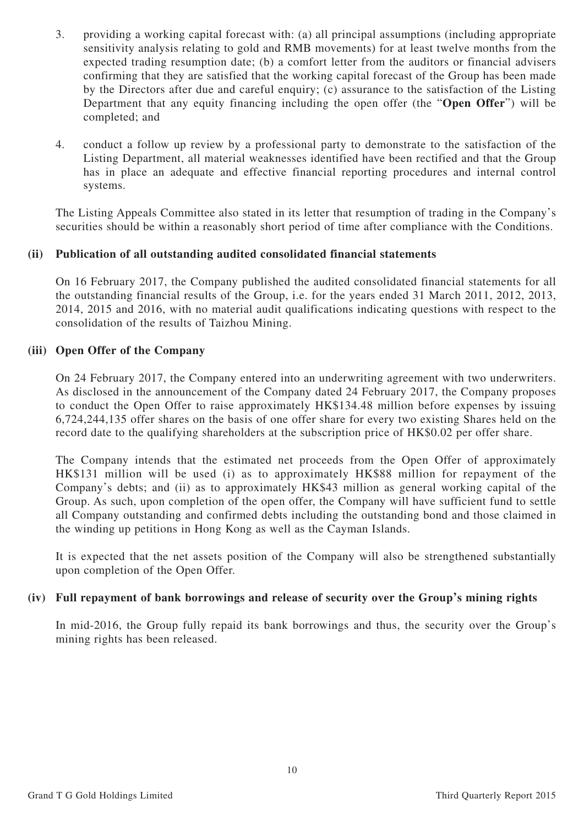- 3. providing a working capital forecast with: (a) all principal assumptions (including appropriate sensitivity analysis relating to gold and RMB movements) for at least twelve months from the expected trading resumption date; (b) a comfort letter from the auditors or financial advisers confirming that they are satisfied that the working capital forecast of the Group has been made by the Directors after due and careful enquiry; (c) assurance to the satisfaction of the Listing Department that any equity financing including the open offer (the "**Open Offer**") will be completed; and
- 4. conduct a follow up review by a professional party to demonstrate to the satisfaction of the Listing Department, all material weaknesses identified have been rectified and that the Group has in place an adequate and effective financial reporting procedures and internal control systems.

The Listing Appeals Committee also stated in its letter that resumption of trading in the Company's securities should be within a reasonably short period of time after compliance with the Conditions.

## **(ii) Publication of all outstanding audited consolidated financial statements**

On 16 February 2017, the Company published the audited consolidated financial statements for all the outstanding financial results of the Group, i.e. for the years ended 31 March 2011, 2012, 2013, 2014, 2015 and 2016, with no material audit qualifications indicating questions with respect to the consolidation of the results of Taizhou Mining.

### **(iii) Open Offer of the Company**

On 24 February 2017, the Company entered into an underwriting agreement with two underwriters. As disclosed in the announcement of the Company dated 24 February 2017, the Company proposes to conduct the Open Offer to raise approximately HK\$134.48 million before expenses by issuing 6,724,244,135 offer shares on the basis of one offer share for every two existing Shares held on the record date to the qualifying shareholders at the subscription price of HK\$0.02 per offer share.

The Company intends that the estimated net proceeds from the Open Offer of approximately HK\$131 million will be used (i) as to approximately HK\$88 million for repayment of the Company's debts; and (ii) as to approximately HK\$43 million as general working capital of the Group. As such, upon completion of the open offer, the Company will have sufficient fund to settle all Company outstanding and confirmed debts including the outstanding bond and those claimed in the winding up petitions in Hong Kong as well as the Cayman Islands.

It is expected that the net assets position of the Company will also be strengthened substantially upon completion of the Open Offer.

#### **(iv) Full repayment of bank borrowings and release of security over the Group's mining rights**

In mid-2016, the Group fully repaid its bank borrowings and thus, the security over the Group's mining rights has been released.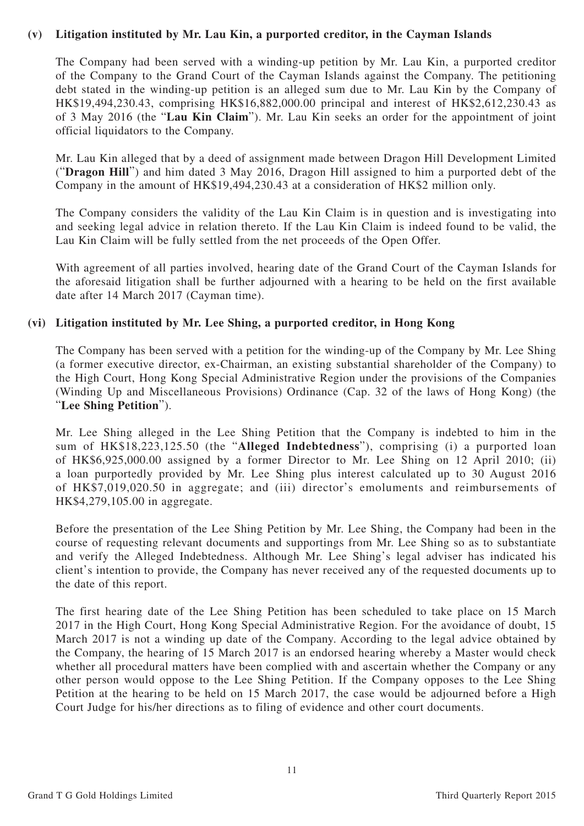### **(v) Litigation instituted by Mr. Lau Kin, a purported creditor, in the Cayman Islands**

The Company had been served with a winding-up petition by Mr. Lau Kin, a purported creditor of the Company to the Grand Court of the Cayman Islands against the Company. The petitioning debt stated in the winding-up petition is an alleged sum due to Mr. Lau Kin by the Company of HK\$19,494,230.43, comprising HK\$16,882,000.00 principal and interest of HK\$2,612,230.43 as of 3 May 2016 (the "**Lau Kin Claim**"). Mr. Lau Kin seeks an order for the appointment of joint official liquidators to the Company.

Mr. Lau Kin alleged that by a deed of assignment made between Dragon Hill Development Limited ("**Dragon Hill**") and him dated 3 May 2016, Dragon Hill assigned to him a purported debt of the Company in the amount of HK\$19,494,230.43 at a consideration of HK\$2 million only.

The Company considers the validity of the Lau Kin Claim is in question and is investigating into and seeking legal advice in relation thereto. If the Lau Kin Claim is indeed found to be valid, the Lau Kin Claim will be fully settled from the net proceeds of the Open Offer.

With agreement of all parties involved, hearing date of the Grand Court of the Cayman Islands for the aforesaid litigation shall be further adjourned with a hearing to be held on the first available date after 14 March 2017 (Cayman time).

### **(vi) Litigation instituted by Mr. Lee Shing, a purported creditor, in Hong Kong**

The Company has been served with a petition for the winding-up of the Company by Mr. Lee Shing (a former executive director, ex-Chairman, an existing substantial shareholder of the Company) to the High Court, Hong Kong Special Administrative Region under the provisions of the Companies (Winding Up and Miscellaneous Provisions) Ordinance (Cap. 32 of the laws of Hong Kong) (the "**Lee Shing Petition**").

Mr. Lee Shing alleged in the Lee Shing Petition that the Company is indebted to him in the sum of HK\$18,223,125.50 (the "**Alleged Indebtedness**"), comprising (i) a purported loan of HK\$6,925,000.00 assigned by a former Director to Mr. Lee Shing on 12 April 2010; (ii) a loan purportedly provided by Mr. Lee Shing plus interest calculated up to 30 August 2016 of HK\$7,019,020.50 in aggregate; and (iii) director's emoluments and reimbursements of HK\$4,279,105.00 in aggregate.

Before the presentation of the Lee Shing Petition by Mr. Lee Shing, the Company had been in the course of requesting relevant documents and supportings from Mr. Lee Shing so as to substantiate and verify the Alleged Indebtedness. Although Mr. Lee Shing's legal adviser has indicated his client's intention to provide, the Company has never received any of the requested documents up to the date of this report.

The first hearing date of the Lee Shing Petition has been scheduled to take place on 15 March 2017 in the High Court, Hong Kong Special Administrative Region. For the avoidance of doubt, 15 March 2017 is not a winding up date of the Company. According to the legal advice obtained by the Company, the hearing of 15 March 2017 is an endorsed hearing whereby a Master would check whether all procedural matters have been complied with and ascertain whether the Company or any other person would oppose to the Lee Shing Petition. If the Company opposes to the Lee Shing Petition at the hearing to be held on 15 March 2017, the case would be adjourned before a High Court Judge for his/her directions as to filing of evidence and other court documents.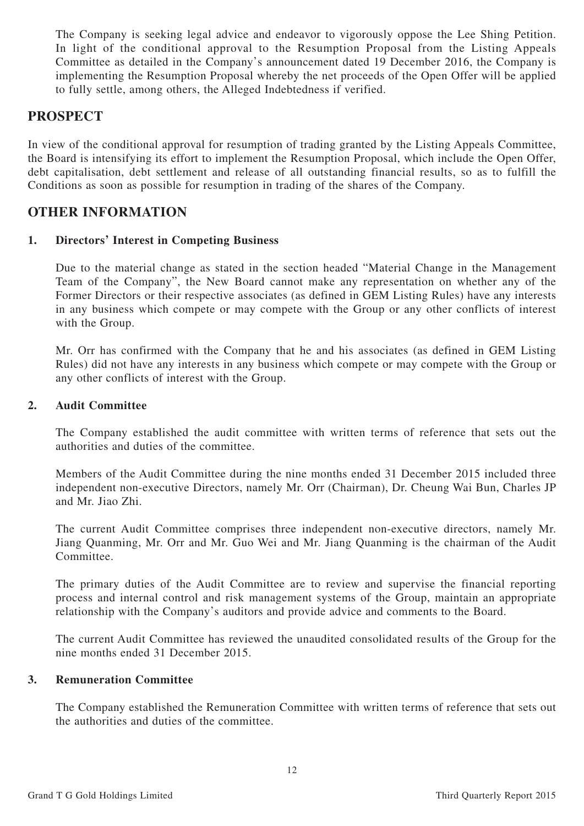The Company is seeking legal advice and endeavor to vigorously oppose the Lee Shing Petition. In light of the conditional approval to the Resumption Proposal from the Listing Appeals Committee as detailed in the Company's announcement dated 19 December 2016, the Company is implementing the Resumption Proposal whereby the net proceeds of the Open Offer will be applied to fully settle, among others, the Alleged Indebtedness if verified.

# **PROSPECT**

In view of the conditional approval for resumption of trading granted by the Listing Appeals Committee, the Board is intensifying its effort to implement the Resumption Proposal, which include the Open Offer, debt capitalisation, debt settlement and release of all outstanding financial results, so as to fulfill the Conditions as soon as possible for resumption in trading of the shares of the Company.

# **OTHER INFORMATION**

## **1. Directors' Interest in Competing Business**

Due to the material change as stated in the section headed "Material Change in the Management Team of the Company", the New Board cannot make any representation on whether any of the Former Directors or their respective associates (as defined in GEM Listing Rules) have any interests in any business which compete or may compete with the Group or any other conflicts of interest with the Group.

Mr. Orr has confirmed with the Company that he and his associates (as defined in GEM Listing Rules) did not have any interests in any business which compete or may compete with the Group or any other conflicts of interest with the Group.

### **2. Audit Committee**

The Company established the audit committee with written terms of reference that sets out the authorities and duties of the committee.

Members of the Audit Committee during the nine months ended 31 December 2015 included three independent non-executive Directors, namely Mr. Orr (Chairman), Dr. Cheung Wai Bun, Charles JP and Mr. Jiao Zhi.

The current Audit Committee comprises three independent non-executive directors, namely Mr. Jiang Quanming, Mr. Orr and Mr. Guo Wei and Mr. Jiang Quanming is the chairman of the Audit Committee.

The primary duties of the Audit Committee are to review and supervise the financial reporting process and internal control and risk management systems of the Group, maintain an appropriate relationship with the Company's auditors and provide advice and comments to the Board.

The current Audit Committee has reviewed the unaudited consolidated results of the Group for the nine months ended 31 December 2015.

## **3. Remuneration Committee**

The Company established the Remuneration Committee with written terms of reference that sets out the authorities and duties of the committee.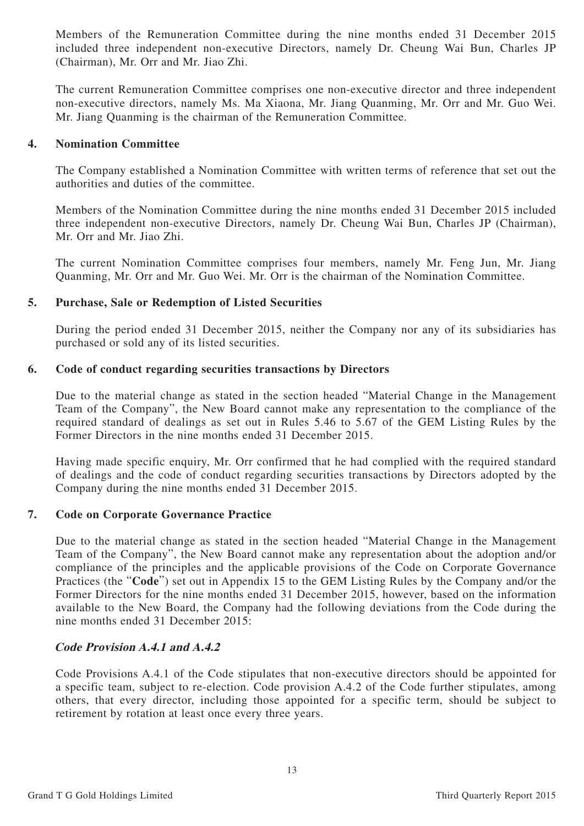Members of the Remuneration Committee during the nine months ended 31 December 2015 included three independent non-executive Directors, namely Dr. Cheung Wai Bun, Charles JP (Chairman), Mr. Orr and Mr. Jiao Zhi.

The current Remuneration Committee comprises one non-executive director and three independent non-executive directors, namely Ms. Ma Xiaona, Mr. Jiang Quanming, Mr. Orr and Mr. Guo Wei. Mr. Jiang Quanming is the chairman of the Remuneration Committee.

#### **4. Nomination Committee**

The Company established a Nomination Committee with written terms of reference that set out the authorities and duties of the committee.

Members of the Nomination Committee during the nine months ended 31 December 2015 included three independent non-executive Directors, namely Dr. Cheung Wai Bun, Charles JP (Chairman), Mr. Orr and Mr. Jiao Zhi.

The current Nomination Committee comprises four members, namely Mr. Feng Jun, Mr. Jiang Quanming, Mr. Orr and Mr. Guo Wei. Mr. Orr is the chairman of the Nomination Committee.

### **5. Purchase, Sale or Redemption of Listed Securities**

During the period ended 31 December 2015, neither the Company nor any of its subsidiaries has purchased or sold any of its listed securities.

### **6. Code of conduct regarding securities transactions by Directors**

Due to the material change as stated in the section headed "Material Change in the Management Team of the Company", the New Board cannot make any representation to the compliance of the required standard of dealings as set out in Rules 5.46 to 5.67 of the GEM Listing Rules by the Former Directors in the nine months ended 31 December 2015.

Having made specific enquiry, Mr. Orr confirmed that he had complied with the required standard of dealings and the code of conduct regarding securities transactions by Directors adopted by the Company during the nine months ended 31 December 2015.

#### **7. Code on Corporate Governance Practice**

Due to the material change as stated in the section headed "Material Change in the Management Team of the Company", the New Board cannot make any representation about the adoption and/or compliance of the principles and the applicable provisions of the Code on Corporate Governance Practices (the "**Code**") set out in Appendix 15 to the GEM Listing Rules by the Company and/or the Former Directors for the nine months ended 31 December 2015, however, based on the information available to the New Board, the Company had the following deviations from the Code during the nine months ended 31 December 2015:

#### **Code Provision A.4.1 and A.4.2**

Code Provisions A.4.1 of the Code stipulates that non-executive directors should be appointed for a specific team, subject to re-election. Code provision A.4.2 of the Code further stipulates, among others, that every director, including those appointed for a specific term, should be subject to retirement by rotation at least once every three years.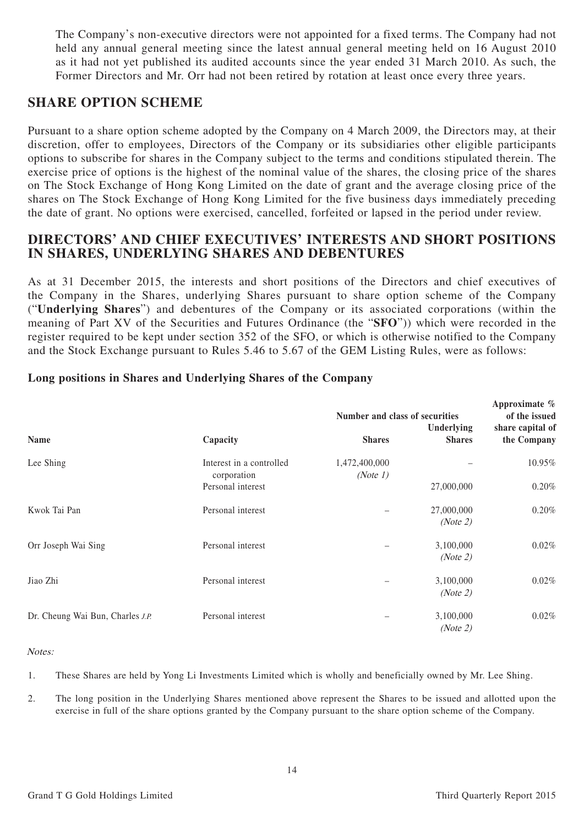The Company's non-executive directors were not appointed for a fixed terms. The Company had not held any annual general meeting since the latest annual general meeting held on 16 August 2010 as it had not yet published its audited accounts since the year ended 31 March 2010. As such, the Former Directors and Mr. Orr had not been retired by rotation at least once every three years.

# **SHARE OPTION SCHEME**

Pursuant to a share option scheme adopted by the Company on 4 March 2009, the Directors may, at their discretion, offer to employees, Directors of the Company or its subsidiaries other eligible participants options to subscribe for shares in the Company subject to the terms and conditions stipulated therein. The exercise price of options is the highest of the nominal value of the shares, the closing price of the shares on The Stock Exchange of Hong Kong Limited on the date of grant and the average closing price of the shares on The Stock Exchange of Hong Kong Limited for the five business days immediately preceding the date of grant. No options were exercised, cancelled, forfeited or lapsed in the period under review.

# **DIRECTORS' AND CHIEF EXECUTIVES' INTERESTS AND SHORT POSITIONS IN SHARES, UNDERLYING SHARES AND DEBENTURES**

As at 31 December 2015, the interests and short positions of the Directors and chief executives of the Company in the Shares, underlying Shares pursuant to share option scheme of the Company ("**Underlying Shares**") and debentures of the Company or its associated corporations (within the meaning of Part XV of the Securities and Futures Ordinance (the "**SFO**")) which were recorded in the register required to be kept under section 352 of the SFO, or which is otherwise notified to the Company and the Stock Exchange pursuant to Rules 5.46 to 5.67 of the GEM Listing Rules, were as follows:

|                                  |                                         | Number and class of securities | Approximate %<br>of the issued |                                 |
|----------------------------------|-----------------------------------------|--------------------------------|--------------------------------|---------------------------------|
| Name                             | Capacity                                | <b>Shares</b>                  | Underlying<br><b>Shares</b>    | share capital of<br>the Company |
| Lee Shing                        | Interest in a controlled<br>corporation | 1,472,400,000<br>(Note 1)      |                                | 10.95%                          |
|                                  | Personal interest                       |                                | 27,000,000                     | 0.20%                           |
| Kwok Tai Pan                     | Personal interest                       |                                | 27,000,000<br>(Note 2)         | 0.20%                           |
| Orr Joseph Wai Sing              | Personal interest                       |                                | 3,100,000<br>(Note 2)          | 0.02%                           |
| Jiao Zhi                         | Personal interest                       |                                | 3,100,000<br>(Note 2)          | $0.02\%$                        |
| Dr. Cheung Wai Bun, Charles J.P. | Personal interest                       |                                | 3,100,000<br>(Note 2)          | 0.02%                           |

## **Long positions in Shares and Underlying Shares of the Company**

#### Notes:

1. These Shares are held by Yong Li Investments Limited which is wholly and beneficially owned by Mr. Lee Shing.

2. The long position in the Underlying Shares mentioned above represent the Shares to be issued and allotted upon the exercise in full of the share options granted by the Company pursuant to the share option scheme of the Company.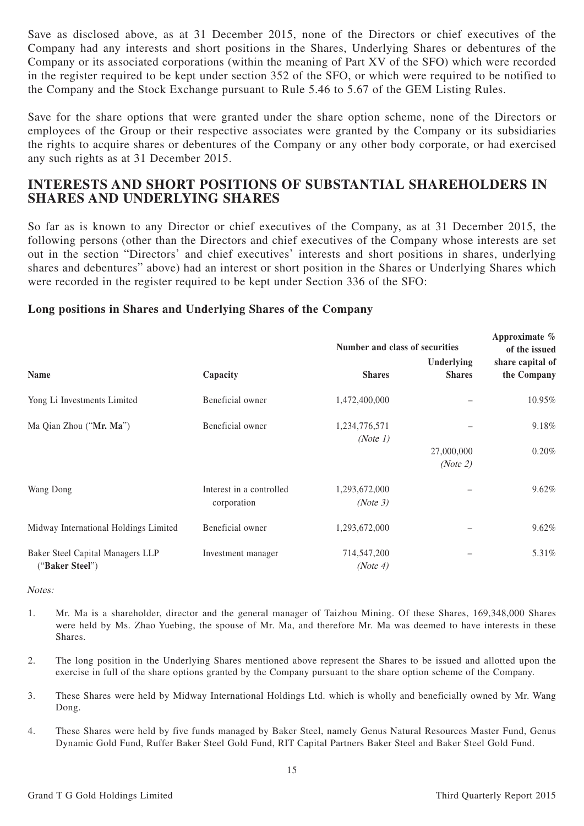Save as disclosed above, as at 31 December 2015, none of the Directors or chief executives of the Company had any interests and short positions in the Shares, Underlying Shares or debentures of the Company or its associated corporations (within the meaning of Part XV of the SFO) which were recorded in the register required to be kept under section 352 of the SFO, or which were required to be notified to the Company and the Stock Exchange pursuant to Rule 5.46 to 5.67 of the GEM Listing Rules.

Save for the share options that were granted under the share option scheme, none of the Directors or employees of the Group or their respective associates were granted by the Company or its subsidiaries the rights to acquire shares or debentures of the Company or any other body corporate, or had exercised any such rights as at 31 December 2015.

# **INTERESTS AND SHORT POSITIONS OF SUBSTANTIAL SHAREHOLDERS IN SHARES AND UNDERLYING SHARES**

So far as is known to any Director or chief executives of the Company, as at 31 December 2015, the following persons (other than the Directors and chief executives of the Company whose interests are set out in the section "Directors' and chief executives' interests and short positions in shares, underlying shares and debentures" above) had an interest or short position in the Shares or Underlying Shares which were recorded in the register required to be kept under Section 336 of the SFO:

### **Long positions in Shares and Underlying Shares of the Company**

|                                                     |                                         | Number and class of securities | Approximate $\%$<br>of the issued |                                 |
|-----------------------------------------------------|-----------------------------------------|--------------------------------|-----------------------------------|---------------------------------|
| Name                                                | Capacity                                | <b>Shares</b>                  | Underlying<br><b>Shares</b>       | share capital of<br>the Company |
| Yong Li Investments Limited                         | Beneficial owner                        | 1,472,400,000                  |                                   | 10.95%                          |
| Ma Qian Zhou ("Mr. Ma")                             | Beneficial owner                        | 1,234,776,571<br>(Note 1)      |                                   | 9.18%                           |
|                                                     |                                         |                                | 27,000,000<br>(Note 2)            | 0.20%                           |
| Wang Dong                                           | Interest in a controlled<br>corporation | 1,293,672,000<br>(Note 3)      |                                   | 9.62%                           |
| Midway International Holdings Limited               | Beneficial owner                        | 1,293,672,000                  |                                   | 9.62%                           |
| Baker Steel Capital Managers LLP<br>("Baker Steel") | Investment manager                      | 714,547,200<br>(Note 4)        |                                   | 5.31%                           |

Notes:

- 1. Mr. Ma is a shareholder, director and the general manager of Taizhou Mining. Of these Shares, 169,348,000 Shares were held by Ms. Zhao Yuebing, the spouse of Mr. Ma, and therefore Mr. Ma was deemed to have interests in these Shares.
- 2. The long position in the Underlying Shares mentioned above represent the Shares to be issued and allotted upon the exercise in full of the share options granted by the Company pursuant to the share option scheme of the Company.
- 3. These Shares were held by Midway International Holdings Ltd. which is wholly and beneficially owned by Mr. Wang Dong.
- 4. These Shares were held by five funds managed by Baker Steel, namely Genus Natural Resources Master Fund, Genus Dynamic Gold Fund, Ruffer Baker Steel Gold Fund, RIT Capital Partners Baker Steel and Baker Steel Gold Fund.